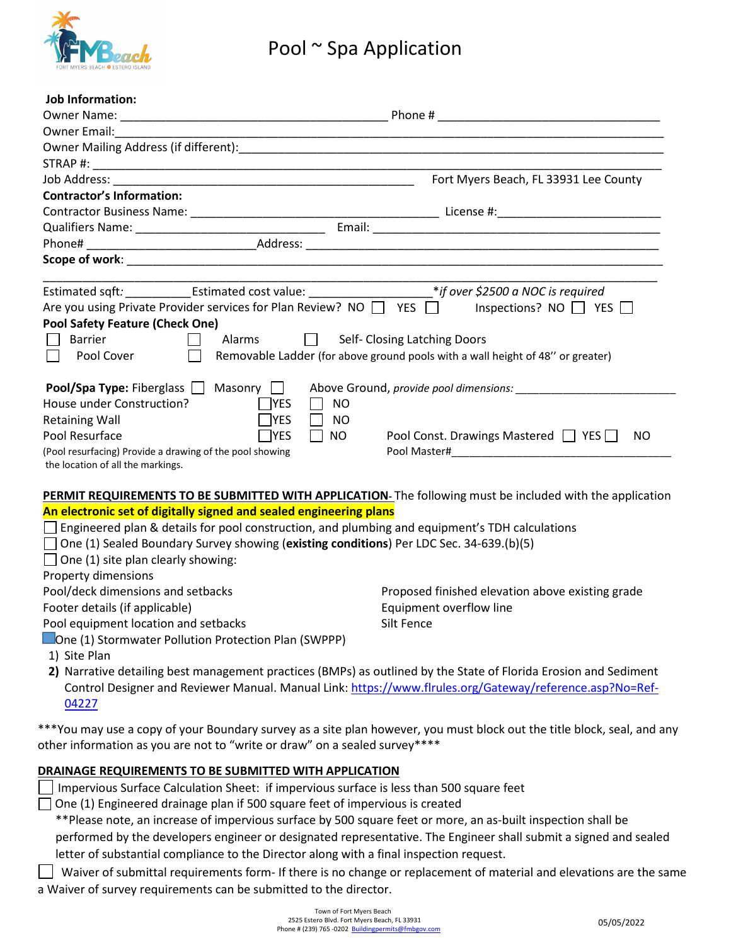

| Job Information:<br>Owner Name:                                                                                   |                                                                                                                  |  |
|-------------------------------------------------------------------------------------------------------------------|------------------------------------------------------------------------------------------------------------------|--|
|                                                                                                                   |                                                                                                                  |  |
|                                                                                                                   |                                                                                                                  |  |
|                                                                                                                   |                                                                                                                  |  |
|                                                                                                                   | Fort Myers Beach, FL 33931 Lee County                                                                            |  |
| <b>Contractor's Information:</b>                                                                                  |                                                                                                                  |  |
|                                                                                                                   |                                                                                                                  |  |
|                                                                                                                   |                                                                                                                  |  |
|                                                                                                                   |                                                                                                                  |  |
|                                                                                                                   |                                                                                                                  |  |
| Estimated sqft: ________________Estimated cost value: __________________________*if over \$2500 a NOC is required |                                                                                                                  |  |
| Are you using Private Provider services for Plan Review? NO $\Box$ YES $\Box$                                     | Inspections? NO $\Box$ YES $\Box$                                                                                |  |
| <b>Pool Safety Feature (Check One)</b>                                                                            |                                                                                                                  |  |
| <b>Barrier</b><br>Alarms $\Box$                                                                                   | Self- Closing Latching Doors                                                                                     |  |
| Pool Cover<br>$\overline{\phantom{0}}$                                                                            | Removable Ladder (for above ground pools with a wall height of 48" or greater)                                   |  |
| <b>Pool/Spa Type:</b> Fiberglass $\Box$ Masonry $\Box$<br>House under Construction?                               |                                                                                                                  |  |
| $\Box$ YES<br><b>NO</b><br>$\mathsf{L}$<br>$\neg$ YES<br><b>NO</b><br>$\overline{\phantom{a}}$                    |                                                                                                                  |  |
| <b>Retaining Wall</b><br>$\neg$ YES<br>Pool Resurface<br>$\Box$ NO                                                | Pool Const. Drawings Mastered □ YES<br>NO.                                                                       |  |
| (Pool resurfacing) Provide a drawing of the pool showing                                                          |                                                                                                                  |  |
| the location of all the markings.                                                                                 |                                                                                                                  |  |
|                                                                                                                   |                                                                                                                  |  |
|                                                                                                                   | PERMIT REQUIREMENTS TO BE SUBMITTED WITH APPLICATION. The following must be included with the application        |  |
| An electronic set of digitally signed and sealed engineering plans                                                |                                                                                                                  |  |
| Engineered plan & details for pool construction, and plumbing and equipment's TDH calculations                    |                                                                                                                  |  |
| $\Box$ One (1) Sealed Boundary Survey showing (existing conditions) Per LDC Sec. 34-639.(b)(5)                    |                                                                                                                  |  |
| $\Box$ One (1) site plan clearly showing:                                                                         |                                                                                                                  |  |
| Property dimensions                                                                                               |                                                                                                                  |  |
| Pool/deck dimensions and setbacks                                                                                 | Proposed finished elevation above existing grade                                                                 |  |
| Footer details (if applicable)                                                                                    | Equipment overflow line                                                                                          |  |
| Pool equipment location and setbacks                                                                              | Silt Fence                                                                                                       |  |
| One (1) Stormwater Pollution Protection Plan (SWPPP)                                                              |                                                                                                                  |  |
| 1) Site Plan                                                                                                      |                                                                                                                  |  |
|                                                                                                                   | 2) Narrative detailing best management practices (BMPs) as outlined by the State of Florida Erosion and Sediment |  |

Control Designer and Reviewer Manual. Manual Link: [https://www.flrules.org/Gateway/reference.asp?No=Ref-](https://nam02.safelinks.protection.outlook.com/?url=https%3A%2F%2Fwww.flrules.org%2FGateway%2Freference.asp%3FNo%3DRef-04227&data=05%7C01%7Cilen%40fmbgov.com%7C9be8fcf49b334c30198208da2d16becf%7Cee8a2c99933d4052a2881fcf3a969876%7C0%7C0%7C637871873089089442%7CUnknown%7CTWFpbGZsb3d8eyJWIjoiMC4wLjAwMDAiLCJQIjoiV2luMzIiLCJBTiI6Ik1haWwiLCJXVCI6Mn0%3D%7C3000%7C%7C%7C&sdata=xbcrJ5vI2KsBhn9y2OtAS5kWPvOkdmPEXV0Urv%2BvIj4%3D&reserved=0)[04227](https://nam02.safelinks.protection.outlook.com/?url=https%3A%2F%2Fwww.flrules.org%2FGateway%2Freference.asp%3FNo%3DRef-04227&data=05%7C01%7Cilen%40fmbgov.com%7C9be8fcf49b334c30198208da2d16becf%7Cee8a2c99933d4052a2881fcf3a969876%7C0%7C0%7C637871873089089442%7CUnknown%7CTWFpbGZsb3d8eyJWIjoiMC4wLjAwMDAiLCJQIjoiV2luMzIiLCJBTiI6Ik1haWwiLCJXVCI6Mn0%3D%7C3000%7C%7C%7C&sdata=xbcrJ5vI2KsBhn9y2OtAS5kWPvOkdmPEXV0Urv%2BvIj4%3D&reserved=0)

\*\*\*You may use a copy of your Boundary survey as a site plan however, you must block out the title block, seal, and any other information as you are not to "write or draw" on a sealed survey\*\*\*\*

### **DRAINAGE REQUIREMENTS TO BE SUBMITTED WITH APPLICATION**

Impervious Surface Calculation Sheet: if impervious surface is less than 500 square feet

 $\Box$  One (1) Engineered drainage plan if 500 square feet of impervious is created

\*\*Please note, an increase of impervious surface by 500 square feet or more, an as-built inspection shall be performed by the developers engineer or designated representative. The Engineer shall submit a signed and sealed letter of substantial compliance to the Director along with a final inspection request.

Waiver of submittal requirements form- If there is no change or replacement of material and elevations are the same a Waiver of survey requirements can be submitted to the director.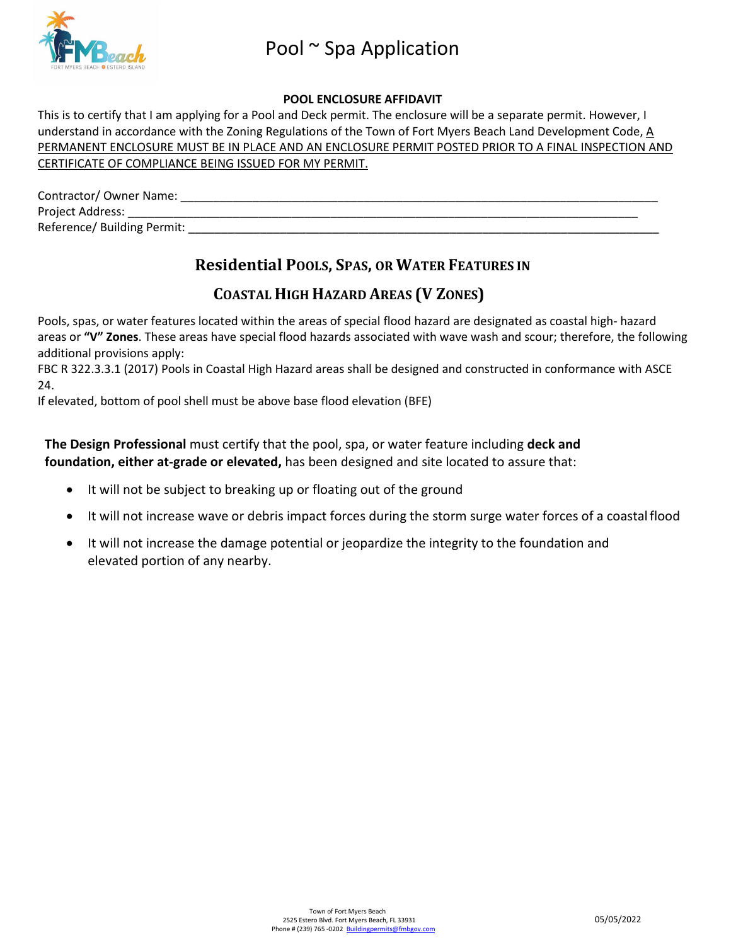

#### **POOL ENCLOSURE AFFIDAVIT**

This is to certify that I am applying for a Pool and Deck permit. The enclosure will be a separate permit. However, I understand in accordance with the Zoning Regulations of the Town of Fort Myers Beach Land Development Code, A PERMANENT ENCLOSURE MUST BE IN PLACE AND AN ENCLOSURE PERMIT POSTED PRIOR TO A FINAL INSPECTION AND CERTIFICATE OF COMPLIANCE BEING ISSUED FOR MY PERMIT.

| Contractor/ Owner Name:     |
|-----------------------------|
| Project Address:            |
| Reference/ Building Permit: |

## **Residential POOLS, SPAS, OR WATER FEATURES IN**

## **COASTAL HIGH HAZARD AREAS (V ZONES)**

Pools, spas, or water features located within the areas of special flood hazard are designated as coastal high- hazard areas or **"V" Zones**. These areas have special flood hazards associated with wave wash and scour; therefore, the following additional provisions apply:

FBC R 322.3.3.1 (2017) Pools in Coastal High Hazard areas shall be designed and constructed in conformance with ASCE 24.

If elevated, bottom of pool shell must be above base flood elevation (BFE)

**The Design Professional** must certify that the pool, spa, or water feature including **deck and foundation, either at-grade or elevated,** has been designed and site located to assure that:

- It will not be subject to breaking up or floating out of the ground
- It will not increase wave or debris impact forces during the storm surge water forces of a coastalflood
- It will not increase the damage potential or jeopardize the integrity to the foundation and elevated portion of any nearby.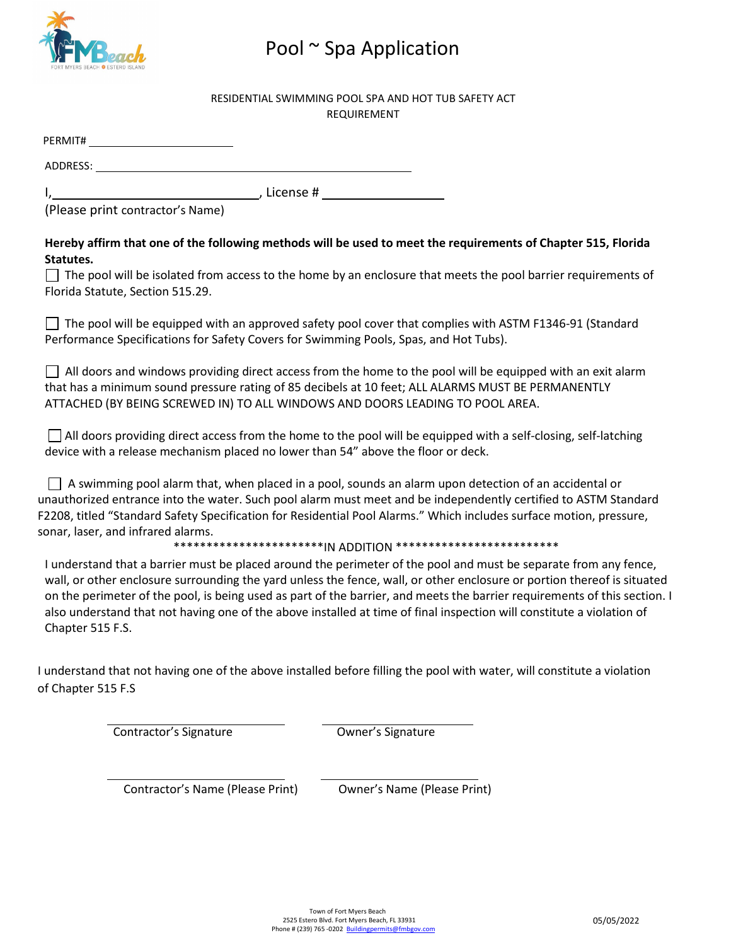

#### RESIDENTIAL SWIMMING POOL SPA AND HOT TUB SAFETY ACT REQUIREMENT

| PERMIT#  |             |
|----------|-------------|
| ADDRESS: |             |
|          | . License # |

(Please print contractor's Name)

### **Hereby affirm that one of the following methods will be used to meet the requirements of Chapter 515, Florida Statutes.**

 $\Box$  The pool will be isolated from access to the home by an enclosure that meets the pool barrier requirements of Florida Statute, Section 515.29.

 $\Box$  The pool will be equipped with an approved safety pool cover that complies with ASTM F1346-91 (Standard Performance Specifications for Safety Covers for Swimming Pools, Spas, and Hot Tubs).

 $\Box$  All doors and windows providing direct access from the home to the pool will be equipped with an exit alarm that has a minimum sound pressure rating of 85 decibels at 10 feet; ALL ALARMS MUST BE PERMANENTLY ATTACHED (BY BEING SCREWED IN) TO ALL WINDOWS AND DOORS LEADING TO POOL AREA.

 $\Box$  All doors providing direct access from the home to the pool will be equipped with a self-closing, self-latching device with a release mechanism placed no lower than 54" above the floor or deck.

 $\Box$  A swimming pool alarm that, when placed in a pool, sounds an alarm upon detection of an accidental or unauthorized entrance into the water. Such pool alarm must meet and be independently certified to ASTM Standard F2208, titled "Standard Safety Specification for Residential Pool Alarms." Which includes surface motion, pressure, sonar, laser, and infrared alarms.

\*\*\*\*\*\*\*\*\*\*\*\*\*\*IN ADDITION \*\*\*\*\*\*\*\*\*\*\*\*\*\*\*\*\*\*\*\*\*\*\*\*\*\*\*

I understand that a barrier must be placed around the perimeter of the pool and must be separate from any fence, wall, or other enclosure surrounding the yard unless the fence, wall, or other enclosure or portion thereof is situated on the perimeter of the pool, is being used as part of the barrier, and meets the barrier requirements of this section. I also understand that not having one of the above installed at time of final inspection will constitute a violation of Chapter 515 F.S.

I understand that not having one of the above installed before filling the pool with water, will constitute a violation of Chapter 515 F.S

Contractor's Signature Owner's Signature

Contractor's Name (Please Print) Owner's Name (Please Print)